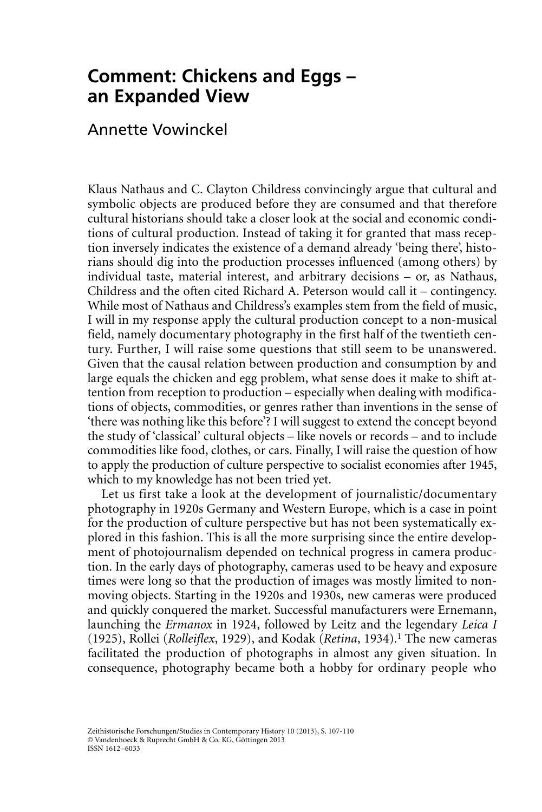## **Comment: Chickens and Eggs – an Expanded View**

## Annette Vowinckel

Klaus Nathaus and C. Clayton Childress convincingly argue that cultural and symbolic objects are produced before they are consumed and that therefore cultural historians should take a closer look at the social and economic conditions of cultural production. Instead of taking it for granted that mass reception inversely indicates the existence of a demand already 'being there', historians should dig into the production processes influenced (among others) by individual taste, material interest, and arbitrary decisions – or, as Nathaus, Childress and the often cited Richard A. Peterson would call it – contingency. While most of Nathaus and Childress's examples stem from the field of music, I will in my response apply the cultural production concept to a non-musical field, namely documentary photography in the first half of the twentieth century. Further, I will raise some questions that still seem to be unanswered. Given that the causal relation between production and consumption by and large equals the chicken and egg problem, what sense does it make to shift attention from reception to production – especially when dealing with modifications of objects, commodities, or genres rather than inventions in the sense of 'there was nothing like this before'? I will suggest to extend the concept beyond the study of 'classical' cultural objects – like novels or records – and to include commodities like food, clothes, or cars. Finally, I will raise the question of how to apply the production of culture perspective to socialist economies after 1945, which to my knowledge has not been tried yet.

Let us first take a look at the development of journalistic/documentary photography in 1920s Germany and Western Europe, which is a case in point for the production of culture perspective but has not been systematically explored in this fashion. This is all the more surprising since the entire development of photojournalism depended on technical progress in camera production. In the early days of photography, cameras used to be heavy and exposure times were long so that the production of images was mostly limited to nonmoving objects. Starting in the 1920s and 1930s, new cameras were produced and quickly conquered the market. Successful manufacturers were Ernemann, launching the *Ermanox* in 1924, followed by Leitz and the legendary *Leica I* (1925), Rollei (*Rolleiflex*, 1929), and Kodak (*Retina*, 1934).<sup>1</sup> The new cameras facilitated the production of photographs in almost any given situation. In consequence, photography became both a hobby for ordinary people who

Zeithistorische Forschungen/Studies in Contemporary History 10 (2013), S. 107-110 © Vandenhoeck & Ruprecht GmbH & Co. KG, Göttingen 2013 ISSN 1612–6033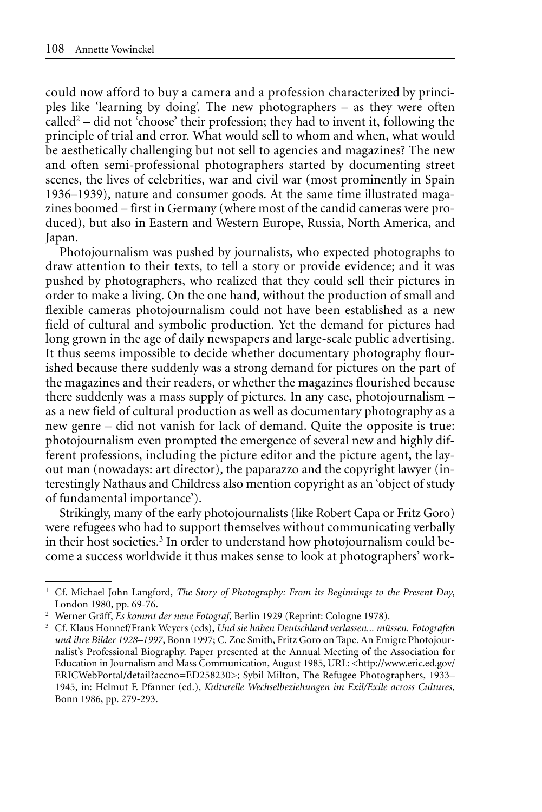could now afford to buy a camera and a profession characterized by principles like 'learning by doing'. The new photographers – as they were often  $called<sup>2</sup> – did not 'choose' their profession; they had to invent it, following the$ principle of trial and error. What would sell to whom and when, what would be aesthetically challenging but not sell to agencies and magazines? The new and often semi-professional photographers started by documenting street scenes, the lives of celebrities, war and civil war (most prominently in Spain 1936–1939), nature and consumer goods. At the same time illustrated magazines boomed – first in Germany (where most of the candid cameras were produced), but also in Eastern and Western Europe, Russia, North America, and Japan.

Photojournalism was pushed by journalists, who expected photographs to draw attention to their texts, to tell a story or provide evidence; and it was pushed by photographers, who realized that they could sell their pictures in order to make a living. On the one hand, without the production of small and flexible cameras photojournalism could not have been established as a new field of cultural and symbolic production. Yet the demand for pictures had long grown in the age of daily newspapers and large-scale public advertising. It thus seems impossible to decide whether documentary photography flourished because there suddenly was a strong demand for pictures on the part of the magazines and their readers, or whether the magazines flourished because there suddenly was a mass supply of pictures. In any case, photojournalism – as a new field of cultural production as well as documentary photography as a new genre – did not vanish for lack of demand. Quite the opposite is true: photojournalism even prompted the emergence of several new and highly different professions, including the picture editor and the picture agent, the layout man (nowadays: art director), the paparazzo and the copyright lawyer (interestingly Nathaus and Childress also mention copyright as an 'object of study of fundamental importance').

Strikingly, many of the early photojournalists (like Robert Capa or Fritz Goro) were refugees who had to support themselves without communicating verbally in their host societies.<sup>3</sup> In order to understand how photojournalism could become a success worldwide it thus makes sense to look at photographers' work-

<sup>1</sup> Cf. Michael John Langford, *The Story of Photography: From its Beginnings to the Present Day*, London 1980, pp. 69-76.

<sup>2</sup> Werner Gräff, *Es kommt der neue Fotograf*, Berlin 1929 (Reprint: Cologne 1978).

<sup>3</sup> Cf. Klaus Honnef/Frank Weyers (eds), *Und sie haben Deutschland verlassen... müssen. Fotografen und ihre Bilder 1928–1997*, Bonn 1997; C. Zoe Smith, Fritz Goro on Tape. An Emigre Photojournalist's Professional Biography. Paper presented at the Annual Meeting of the Association for Education in Journalism and Mass Communication, August 1985, URL: <http://www.eric.ed.gov/ ERICWebPortal/detail?accno=ED258230>; Sybil Milton, The Refugee Photographers, 1933– 1945, in: Helmut F. Pfanner (ed.), *Kulturelle Wechselbeziehungen im Exil/Exile across Cultures*, Bonn 1986, pp. 279-293.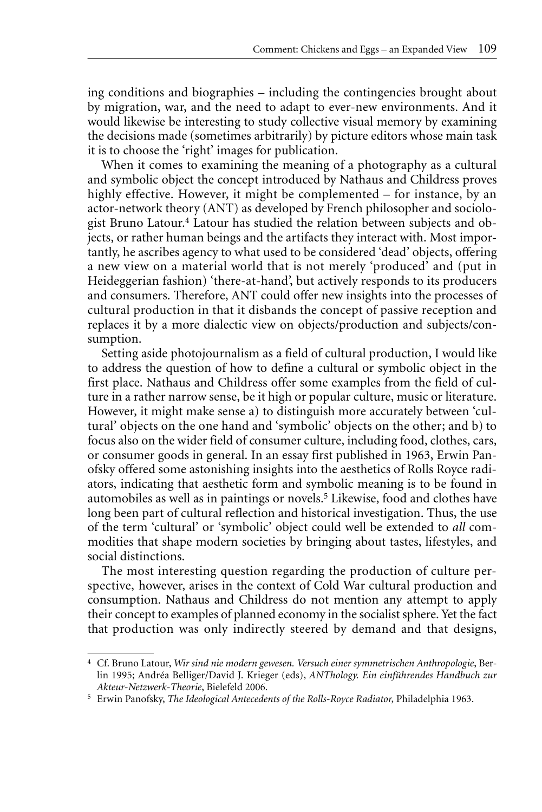ing conditions and biographies – including the contingencies brought about by migration, war, and the need to adapt to ever-new environments. And it would likewise be interesting to study collective visual memory by examining the decisions made (sometimes arbitrarily) by picture editors whose main task it is to choose the 'right' images for publication.

When it comes to examining the meaning of a photography as a cultural and symbolic object the concept introduced by Nathaus and Childress proves highly effective. However, it might be complemented – for instance, by an actor-network theory (ANT) as developed by French philosopher and sociologist Bruno Latour.4 Latour has studied the relation between subjects and objects, or rather human beings and the artifacts they interact with. Most importantly, he ascribes agency to what used to be considered 'dead' objects, offering a new view on a material world that is not merely 'produced' and (put in Heideggerian fashion) 'there-at-hand', but actively responds to its producers and consumers. Therefore, ANT could offer new insights into the processes of cultural production in that it disbands the concept of passive reception and replaces it by a more dialectic view on objects/production and subjects/consumption.

Setting aside photojournalism as a field of cultural production, I would like to address the question of how to define a cultural or symbolic object in the first place. Nathaus and Childress offer some examples from the field of culture in a rather narrow sense, be it high or popular culture, music or literature. However, it might make sense a) to distinguish more accurately between 'cultural' objects on the one hand and 'symbolic' objects on the other; and b) to focus also on the wider field of consumer culture, including food, clothes, cars, or consumer goods in general. In an essay first published in 1963, Erwin Panofsky offered some astonishing insights into the aesthetics of Rolls Royce radiators, indicating that aesthetic form and symbolic meaning is to be found in automobiles as well as in paintings or novels.5 Likewise, food and clothes have long been part of cultural reflection and historical investigation. Thus, the use of the term 'cultural' or 'symbolic' object could well be extended to *all* commodities that shape modern societies by bringing about tastes, lifestyles, and social distinctions.

The most interesting question regarding the production of culture perspective, however, arises in the context of Cold War cultural production and consumption. Nathaus and Childress do not mention any attempt to apply their concept to examples of planned economy in the socialist sphere. Yet the fact that production was only indirectly steered by demand and that designs,

<sup>4</sup> Cf. Bruno Latour, *Wir sind nie modern gewesen. Versuch einer symmetrischen Anthropologie*, Berlin 1995; Andréa Belliger/David J. Krieger (eds), *ANThology. Ein einführendes Handbuch zur Akteur-Netzwerk-Theorie*, Bielefeld 2006.

<sup>5</sup> Erwin Panofsky, *The Ideological Antecedents of the Rolls-Royce Radiator*, Philadelphia 1963.